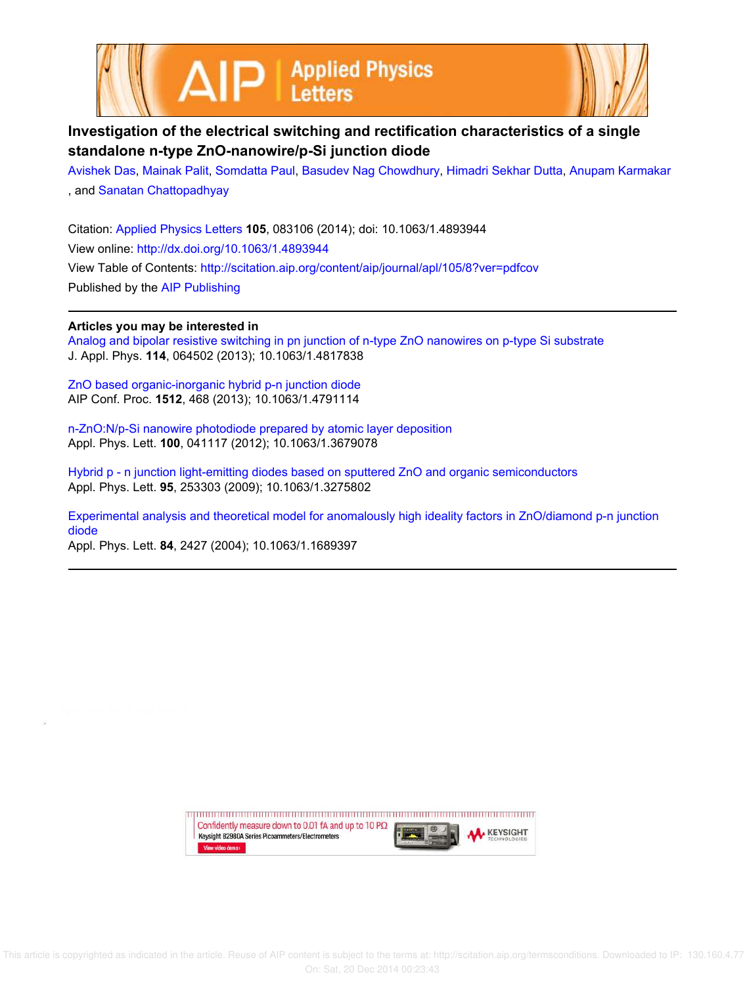



## **Investigation of the electrical switching and rectification characteristics of a single standalone n-type ZnO-nanowire/p-Si junction diode**

Avishek Das, Mainak Palit, Somdatta Paul, Basudev Nag Chowdhury, Himadri Sekhar Dutta, Anupam Karmakar , and Sanatan Chattopadhyay

Citation: Applied Physics Letters **105**, 083106 (2014); doi: 10.1063/1.4893944 View online: http://dx.doi.org/10.1063/1.4893944 View Table of Contents: http://scitation.aip.org/content/aip/journal/apl/105/8?ver=pdfcov Published by the AIP Publishing

## **Articles you may be interested in**

Analog and bipolar resistive switching in pn junction of n-type ZnO nanowires on p-type Si substrate J. Appl. Phys. **114**, 064502 (2013); 10.1063/1.4817838

ZnO based organic-inorganic hybrid p-n junction diode AIP Conf. Proc. **1512**, 468 (2013); 10.1063/1.4791114

n-ZnO:N/p-Si nanowire photodiode prepared by atomic layer deposition Appl. Phys. Lett. **100**, 041117 (2012); 10.1063/1.3679078

Hybrid p - n junction light-emitting diodes based on sputtered ZnO and organic semiconductors Appl. Phys. Lett. **95**, 253303 (2009); 10.1063/1.3275802

Experimental analysis and theoretical model for anomalously high ideality factors in ZnO/diamond p-n junction diode

Appl. Phys. Lett. **84**, 2427 (2004); 10.1063/1.1689397

Confidently measure down to 0.01 fA and up to 10  $P\Omega$ **KEYSIGHT** Keysight B2980A Series Picoammeters/Electrometers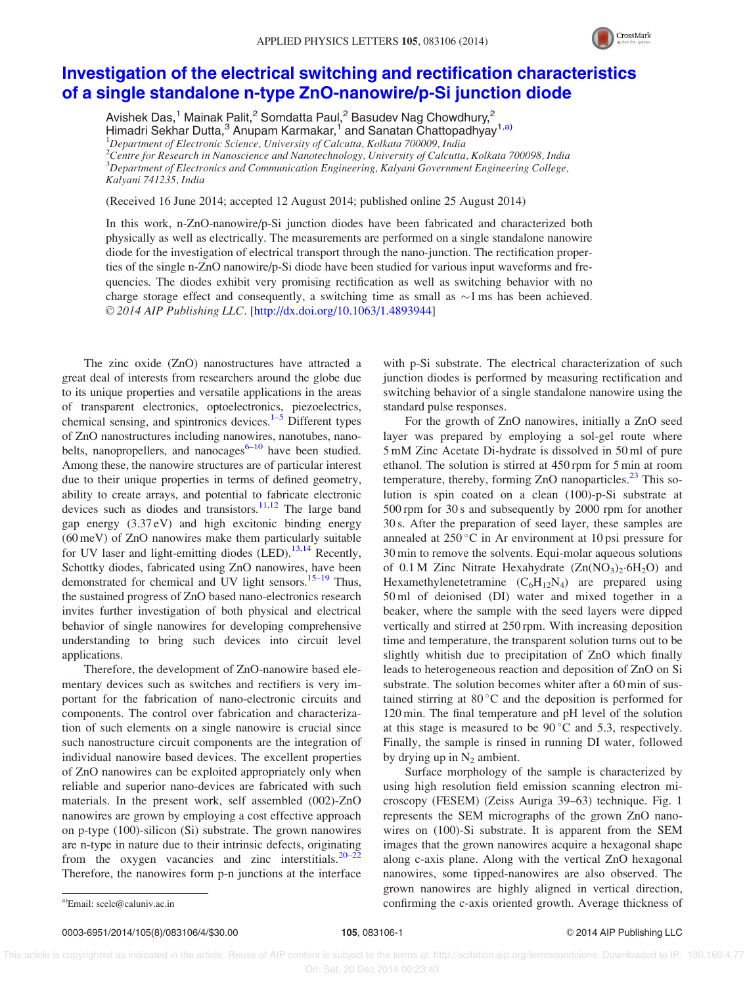

## Investigation of the electrical switching and rectification characteristics of a single standalone n-type ZnO-nanowire/p-Si junction diode

Avishek Das,<sup>1</sup> Mainak Palit,<sup>2</sup> Somdatta Paul,<sup>2</sup> Basudev Nag Chowdhury,<sup>2</sup> Himadri Sekhar Dutta,<sup>3</sup> Anupam Karmakar,<sup>1</sup> and Sanatan Chattopadhyay<sup>1,a)</sup>

 $1$ Department of Electronic Science, University of Calcutta, Kolkata 700009, India

 $^2$ Centre for Research in Nanoscience and Nanotechnology, University of Calcutta, Kolkata 700098, India  ${}^{3}$ Department of Electronics and Communication Engineering, Kalyani Government Engineering College, Kalyani 741235, India

(Received 16 June 2014; accepted 12 August 2014; published online 25 August 2014)

In this work, n-ZnO-nanowire/p-Si junction diodes have been fabricated and characterized both physically as well as electrically. The measurements are performed on a single standalone nanowire diode for the investigation of electrical transport through the nano-junction. The rectification properties of the single n-ZnO nanowire/p-Si diode have been studied for various input waveforms and frequencies. The diodes exhibit very promising rectification as well as switching behavior with no charge storage effect and consequently, a switching time as small as  $\sim$ 1 ms has been achieved. V<sup>C</sup> 2014 AIP Publishing LLC. [http://dx.doi.org/10.1063/1.4893944]

The zinc oxide (ZnO) nanostructures have attracted a great deal of interests from researchers around the globe due to its unique properties and versatile applications in the areas of transparent electronics, optoelectronics, piezoelectrics, chemical sensing, and spintronics devices. $1-5$  Different types of ZnO nanostructures including nanowires, nanotubes, nanobelts, nanopropellers, and nanocages $6-10$  have been studied. Among these, the nanowire structures are of particular interest due to their unique properties in terms of defined geometry, ability to create arrays, and potential to fabricate electronic devices such as diodes and transistors.<sup>11,12</sup> The large band gap energy (3.37 eV) and high excitonic binding energy (60 meV) of ZnO nanowires make them particularly suitable for UV laser and light-emitting diodes  $(LED).<sup>13,14</sup>$  Recently, Schottky diodes, fabricated using ZnO nanowires, have been demonstrated for chemical and UV light sensors.<sup>15–19</sup> Thus, the sustained progress of ZnO based nano-electronics research invites further investigation of both physical and electrical behavior of single nanowires for developing comprehensive understanding to bring such devices into circuit level applications.

Therefore, the development of ZnO-nanowire based elementary devices such as switches and rectifiers is very important for the fabrication of nano-electronic circuits and components. The control over fabrication and characterization of such elements on a single nanowire is crucial since such nanostructure circuit components are the integration of individual nanowire based devices. The excellent properties of ZnO nanowires can be exploited appropriately only when reliable and superior nano-devices are fabricated with such materials. In the present work, self assembled (002)-ZnO nanowires are grown by employing a cost effective approach on p-type (100)-silicon (Si) substrate. The grown nanowires are n-type in nature due to their intrinsic defects, originating from the oxygen vacancies and zinc interstitials. $20-22$ Therefore, the nanowires form p-n junctions at the interface

with p-Si substrate. The electrical characterization of such junction diodes is performed by measuring rectification and switching behavior of a single standalone nanowire using the standard pulse responses.

For the growth of ZnO nanowires, initially a ZnO seed layer was prepared by employing a sol-gel route where 5 mM Zinc Acetate Di-hydrate is dissolved in 50 ml of pure ethanol. The solution is stirred at 450 rpm for 5 min at room temperature, thereby, forming  $ZnO$  nanoparticles.<sup>23</sup> This solution is spin coated on a clean (100)-p-Si substrate at 500 rpm for 30 s and subsequently by 2000 rpm for another 30 s. After the preparation of seed layer, these samples are annealed at  $250^{\circ}$ C in Ar environment at 10 psi pressure for 30 min to remove the solvents. Equi-molar aqueous solutions of 0.1 M Zinc Nitrate Hexahydrate  $(Zn(NO<sub>3</sub>)<sub>2</sub>·6H<sub>2</sub>O)$  and Hexamethylenetetramine  $(C_6H_{12}N_4)$  are prepared using 50 ml of deionised (DI) water and mixed together in a beaker, where the sample with the seed layers were dipped vertically and stirred at 250 rpm. With increasing deposition time and temperature, the transparent solution turns out to be slightly whitish due to precipitation of ZnO which finally leads to heterogeneous reaction and deposition of ZnO on Si substrate. The solution becomes whiter after a 60 min of sustained stirring at  $80^{\circ}$ C and the deposition is performed for 120 min. The final temperature and pH level of the solution at this stage is measured to be  $90^{\circ}$ C and 5.3, respectively. Finally, the sample is rinsed in running DI water, followed by drying up in  $N_2$  ambient.

Surface morphology of the sample is characterized by using high resolution field emission scanning electron microscopy (FESEM) (Zeiss Auriga 39–63) technique. Fig. 1 represents the SEM micrographs of the grown ZnO nanowires on (100)-Si substrate. It is apparent from the SEM images that the grown nanowires acquire a hexagonal shape along c-axis plane. Along with the vertical ZnO hexagonal nanowires, some tipped-nanowires are also observed. The grown nanowires are highly aligned in vertical direction, a)Email: scelc@caluniv.ac.in confirming the c-axis oriented growth. Average thickness of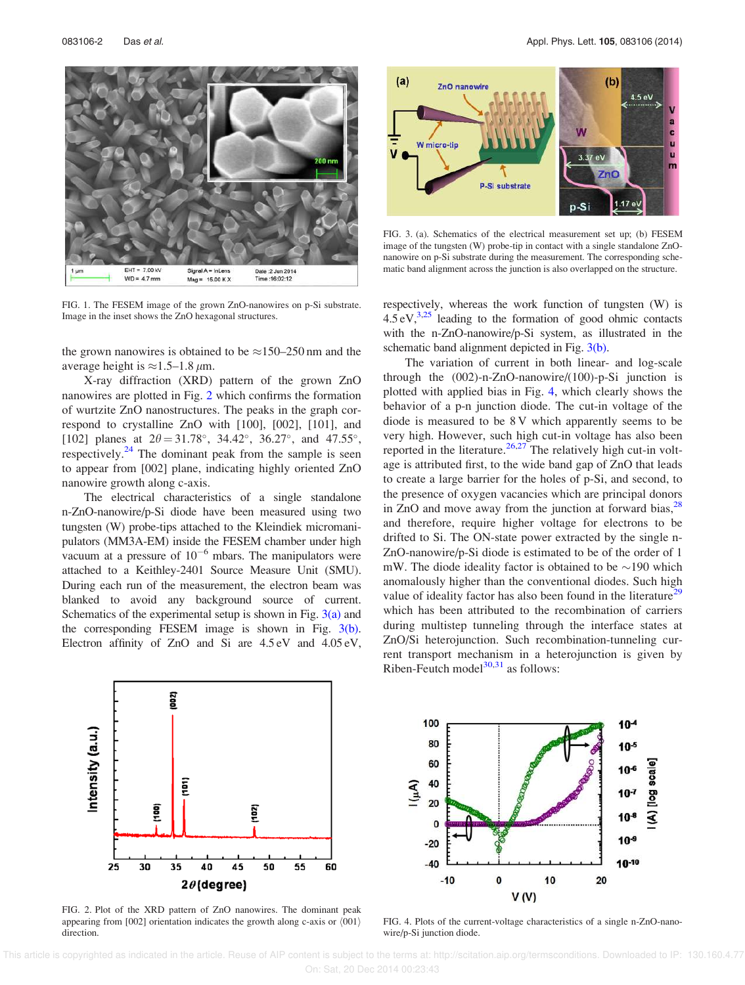EHT =  $7.00 \text{ kV}$ Signal A = InLens Date : 2 Jun 2014  $WD = 4.7$  mm  $Mag = 15.00 KX$ Time :16:02:12

FIG. 1. The FESEM image of the grown ZnO-nanowires on p-Si substrate. Image in the inset shows the ZnO hexagonal structures.

the grown nanowires is obtained to be  $\approx 150-250$  nm and the average height is  $\approx$ 1.5–1.8  $\mu$ m.

X-ray diffraction (XRD) pattern of the grown ZnO nanowires are plotted in Fig. 2 which confirms the formation of wurtzite ZnO nanostructures. The peaks in the graph correspond to crystalline ZnO with [100], [002], [101], and [102] planes at  $2\theta = 31.78^{\circ}$ ,  $34.42^{\circ}$ ,  $36.27^{\circ}$ , and  $47.55^{\circ}$ , respectively. $24$  The dominant peak from the sample is seen to appear from [002] plane, indicating highly oriented ZnO nanowire growth along c-axis.

The electrical characteristics of a single standalone n-ZnO-nanowire/p-Si diode have been measured using two tungsten (W) probe-tips attached to the Kleindiek micromanipulators (MM3A-EM) inside the FESEM chamber under high vacuum at a pressure of  $10^{-6}$  mbars. The manipulators were attached to a Keithley-2401 Source Measure Unit (SMU). During each run of the measurement, the electron beam was blanked to avoid any background source of current. Schematics of the experimental setup is shown in Fig.  $3(a)$  and the corresponding FESEM image is shown in Fig. 3(b). Electron affinity of ZnO and Si are 4.5 eV and 4.05 eV,



FIG. 3. (a). Schematics of the electrical measurement set up; (b) FESEM image of the tungsten (W) probe-tip in contact with a single standalone ZnOnanowire on p-Si substrate during the measurement. The corresponding schematic band alignment across the junction is also overlapped on the structure.

respectively, whereas the work function of tungsten (W) is  $4.5 \text{ eV},^{3,25}$  leading to the formation of good ohmic contacts with the n-ZnO-nanowire/p-Si system, as illustrated in the schematic band alignment depicted in Fig. 3(b).

The variation of current in both linear- and log-scale through the (002)-n-ZnO-nanowire/(100)-p-Si junction is plotted with applied bias in Fig. 4, which clearly shows the behavior of a p-n junction diode. The cut-in voltage of the diode is measured to be 8 V which apparently seems to be very high. However, such high cut-in voltage has also been reported in the literature.<sup>26,27</sup> The relatively high cut-in voltage is attributed first, to the wide band gap of ZnO that leads to create a large barrier for the holes of p-Si, and second, to the presence of oxygen vacancies which are principal donors in ZnO and move away from the junction at forward bias, $^{28}$ and therefore, require higher voltage for electrons to be drifted to Si. The ON-state power extracted by the single n-ZnO-nanowire/p-Si diode is estimated to be of the order of 1 mW. The diode ideality factor is obtained to be  $\sim$ 190 which anomalously higher than the conventional diodes. Such high value of ideality factor has also been found in the literature<sup>29</sup> which has been attributed to the recombination of carriers during multistep tunneling through the interface states at ZnO/Si heterojunction. Such recombination-tunneling current transport mechanism in a heterojunction is given by Riben-Feutch model $30,31$  as follows:



FIG. 2. Plot of the XRD pattern of ZnO nanowires. The dominant peak appearing from [002] orientation indicates the growth along c-axis or  $\langle 001 \rangle$ direction.



FIG. 4. Plots of the current-voltage characteristics of a single n-ZnO-nanowire/p-Si junction diode.

 This article is copyrighted as indicated in the article. Reuse of AIP content is subject to the terms at: http://scitation.aip.org/termsconditions. Downloaded to IP: 130.160.4.77 On: Sat, 20 Dec 2014 00:23:43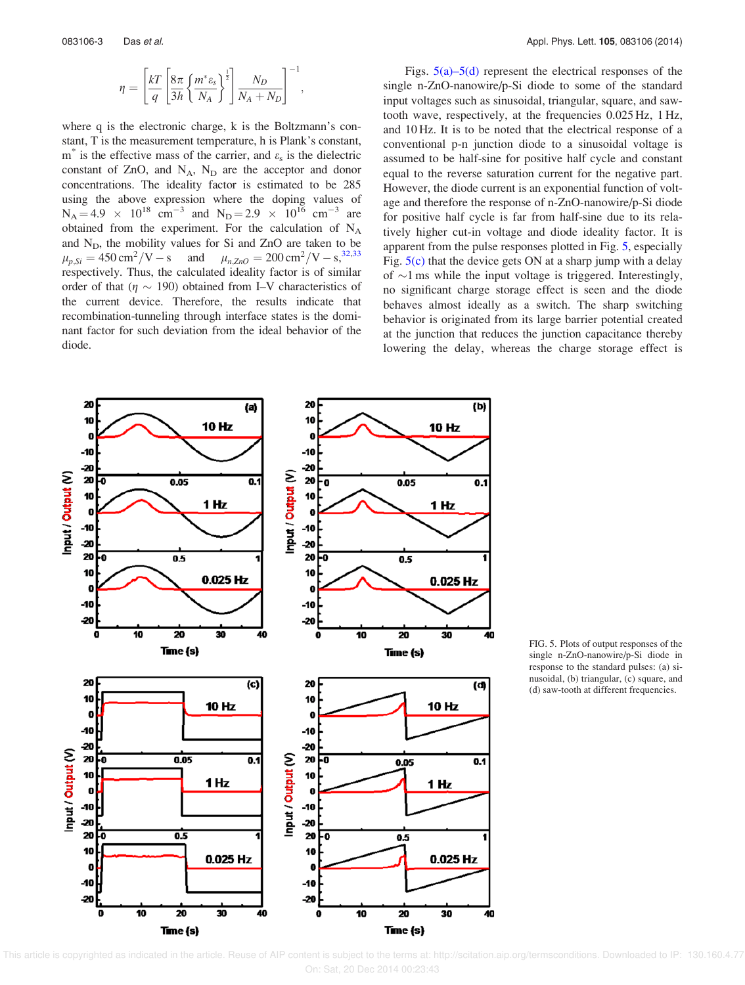$$
\eta = \left[\frac{kT}{q} \left[\frac{8\pi}{3h} \left\{\frac{m^* \varepsilon_s}{N_A}\right\}^{\frac{1}{2}}\right] \frac{N_D}{N_A + N_D}\right]^{-1},\,
$$

where q is the electronic charge, k is the Boltzmann's constant, T is the measurement temperature, h is Plank's constant,  $m^*$  is the effective mass of the carrier, and  $\varepsilon_s$  is the dielectric constant of ZnO, and  $N_A$ ,  $N_D$  are the acceptor and donor concentrations. The ideality factor is estimated to be 285 using the above expression where the doping values of  $N_A = 4.9 \times 10^{18} \text{ cm}^{-3}$  and  $N_D = 2.9 \times 10^{16} \text{ cm}^{-3}$  are obtained from the experiment. For the calculation of  $N_A$ and  $N_D$ , the mobility values for Si and ZnO are taken to be  $\mu_{p,Si} = 450 \text{ cm}^2/\text{V} - \text{s}$  and  $\mu_{n,ZnO} = 200 \text{ cm}^2/\text{V} - \text{s}$ ,<sup>32,33</sup> respectively. Thus, the calculated ideality factor is of similar order of that ( $\eta \sim 190$ ) obtained from I–V characteristics of the current device. Therefore, the results indicate that recombination-tunneling through interface states is the dominant factor for such deviation from the ideal behavior of the diode.

Figs.  $5(a)$ – $5(d)$  represent the electrical responses of the single n-ZnO-nanowire/p-Si diode to some of the standard input voltages such as sinusoidal, triangular, square, and sawtooth wave, respectively, at the frequencies 0.025 Hz, 1 Hz, and 10 Hz. It is to be noted that the electrical response of a conventional p-n junction diode to a sinusoidal voltage is assumed to be half-sine for positive half cycle and constant equal to the reverse saturation current for the negative part. However, the diode current is an exponential function of voltage and therefore the response of n-ZnO-nanowire/p-Si diode for positive half cycle is far from half-sine due to its relatively higher cut-in voltage and diode ideality factor. It is apparent from the pulse responses plotted in Fig. 5, especially Fig.  $5(c)$  that the device gets ON at a sharp jump with a delay of  $\sim$ 1 ms while the input voltage is triggered. Interestingly, no significant charge storage effect is seen and the diode behaves almost ideally as a switch. The sharp switching behavior is originated from its large barrier potential created at the junction that reduces the junction capacitance thereby lowering the delay, whereas the charge storage effect is



FIG. 5. Plots of output responses of the single n-ZnO-nanowire/p-Si diode in response to the standard pulses: (a) sinusoidal, (b) triangular, (c) square, and (d) saw-tooth at different frequencies.

 This article is copyrighted as indicated in the article. Reuse of AIP content is subject to the terms at: http://scitation.aip.org/termsconditions. Downloaded to IP: 130.160.4.77 On: Sat, 20 Dec 2014 00:23:43